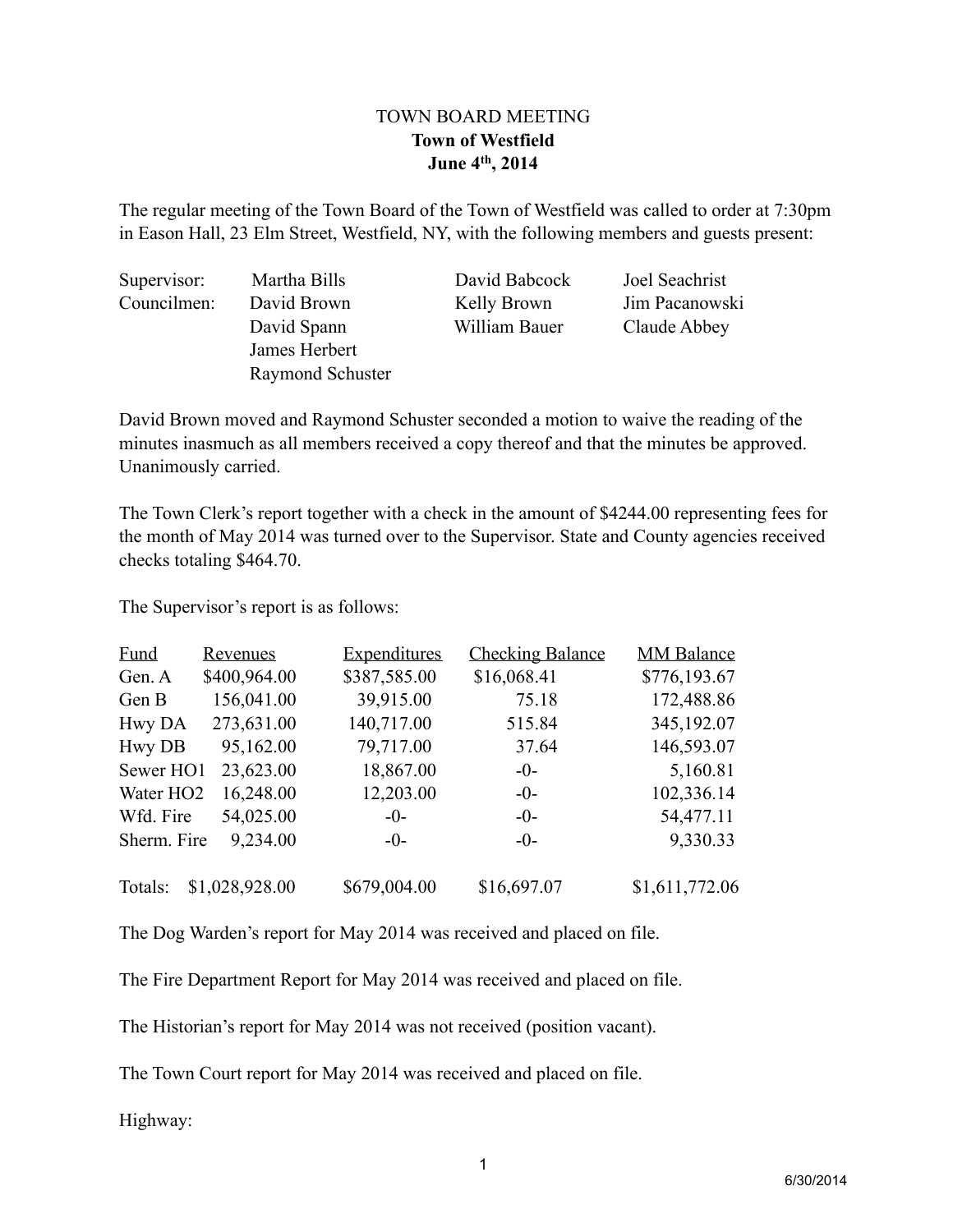## TOWN BOARD MEETING **Town of Westfield June 4th, 2014**

The regular meeting of the Town Board of the Town of Westfield was called to order at 7:30pm in Eason Hall, 23 Elm Street, Westfield, NY, with the following members and guests present:

Supervisor: Martha Bills David Babcock Joel Seachrist Councilmen: David Brown Kelly Brown Jim Pacanowski James Herbert Raymond Schuster

David Spann William Bauer Claude Abbey

David Brown moved and Raymond Schuster seconded a motion to waive the reading of the minutes inasmuch as all members received a copy thereof and that the minutes be approved. Unanimously carried.

The Town Clerk's report together with a check in the amount of \$4244.00 representing fees for the month of May 2014 was turned over to the Supervisor. State and County agencies received checks totaling \$464.70.

The Supervisor's report is as follows:

| <b>Fund</b>           | <b>Revenues</b> | <b>Expenditures</b> | <b>Checking Balance</b> | <b>MM Balance</b> |
|-----------------------|-----------------|---------------------|-------------------------|-------------------|
| Gen. A                | \$400,964.00    | \$387,585.00        | \$16,068.41             | \$776,193.67      |
| Gen B                 | 156,041.00      | 39,915.00           | 75.18                   | 172,488.86        |
| Hwy DA                | 273,631.00      | 140,717.00          | 515.84                  | 345,192.07        |
| <b>Hwy DB</b>         | 95,162.00       | 79,717.00           | 37.64                   | 146,593.07        |
| Sewer HO1             | 23,623.00       | 18,867.00           | $-0-$                   | 5,160.81          |
| Water HO <sub>2</sub> | 16,248.00       | 12,203.00           | $-0-$                   | 102,336.14        |
| Wfd. Fire             | 54,025.00       | $-0-$               | $-0-$                   | 54,477.11         |
| Sherm. Fire           | 9,234.00        | $-0-$               | $-0-$                   | 9,330.33          |
| Totals:               | \$1,028,928.00  | \$679,004.00        | \$16,697.07             | \$1,611,772.06    |

The Dog Warden's report for May 2014 was received and placed on file.

The Fire Department Report for May 2014 was received and placed on file.

The Historian's report for May 2014 was not received (position vacant).

The Town Court report for May 2014 was received and placed on file.

Highway: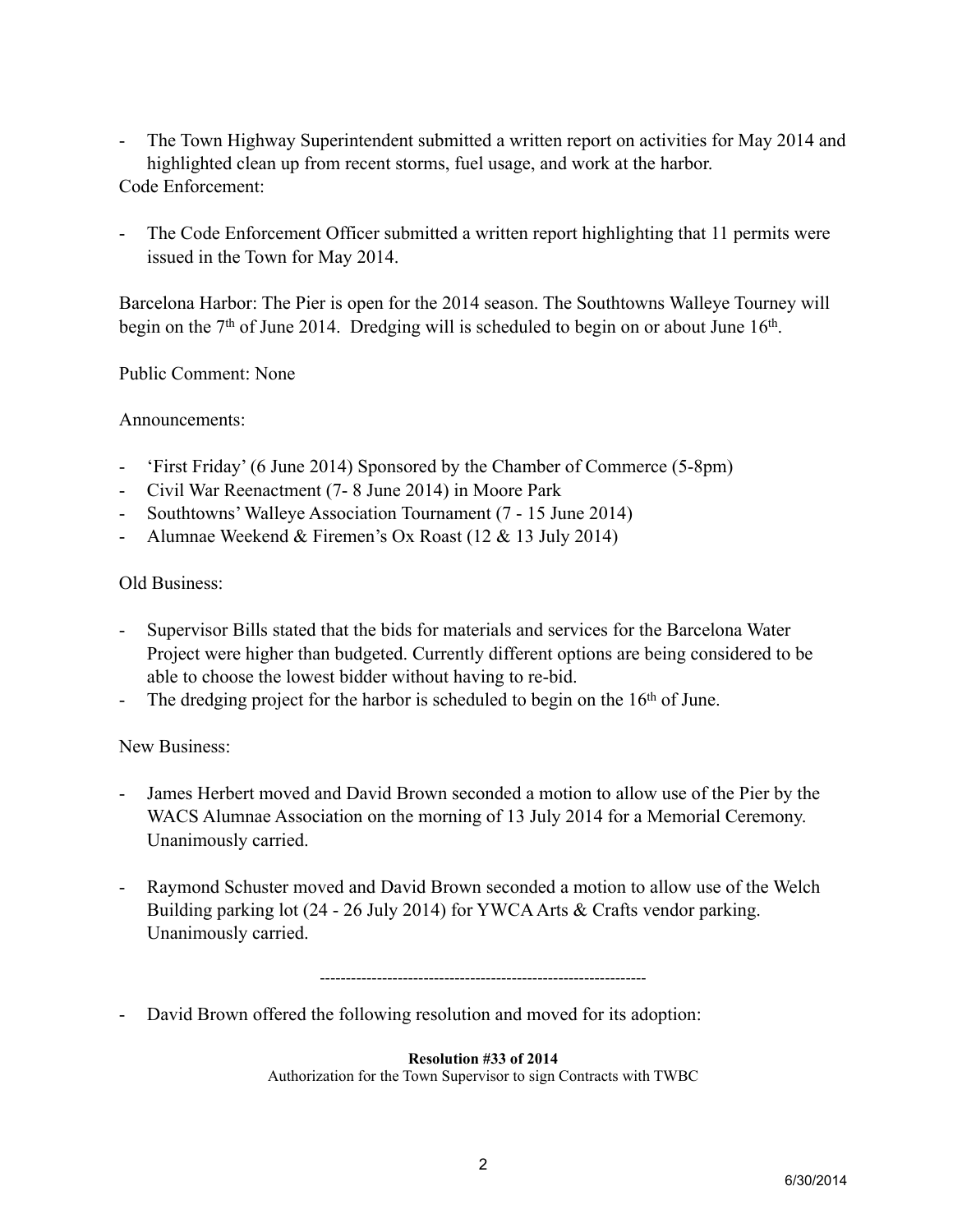- The Town Highway Superintendent submitted a written report on activities for May 2014 and highlighted clean up from recent storms, fuel usage, and work at the harbor. Code Enforcement:
- The Code Enforcement Officer submitted a written report highlighting that 11 permits were issued in the Town for May 2014.

Barcelona Harbor: The Pier is open for the 2014 season. The Southtowns Walleye Tourney will begin on the  $7<sup>th</sup>$  of June 2014. Dredging will is scheduled to begin on or about June  $16<sup>th</sup>$ .

Public Comment: None

Announcements:

- 'First Friday' (6 June 2014) Sponsored by the Chamber of Commerce (5-8pm)
- Civil War Reenactment (7- 8 June 2014) in Moore Park
- Southtowns' Walleye Association Tournament (7 15 June 2014)
- Alumnae Weekend & Firemen's Ox Roast (12 & 13 July 2014)

Old Business:

- Supervisor Bills stated that the bids for materials and services for the Barcelona Water Project were higher than budgeted. Currently different options are being considered to be able to choose the lowest bidder without having to re-bid.
- The dredging project for the harbor is scheduled to begin on the  $16<sup>th</sup>$  of June.

New Business:

- James Herbert moved and David Brown seconded a motion to allow use of the Pier by the WACS Alumnae Association on the morning of 13 July 2014 for a Memorial Ceremony. Unanimously carried.
- Raymond Schuster moved and David Brown seconded a motion to allow use of the Welch Building parking lot (24 - 26 July 2014) for YWCA Arts & Crafts vendor parking. Unanimously carried.

---------------------------------------------------------------

- David Brown offered the following resolution and moved for its adoption:

**Resolution #33 of 2014**

Authorization for the Town Supervisor to sign Contracts with TWBC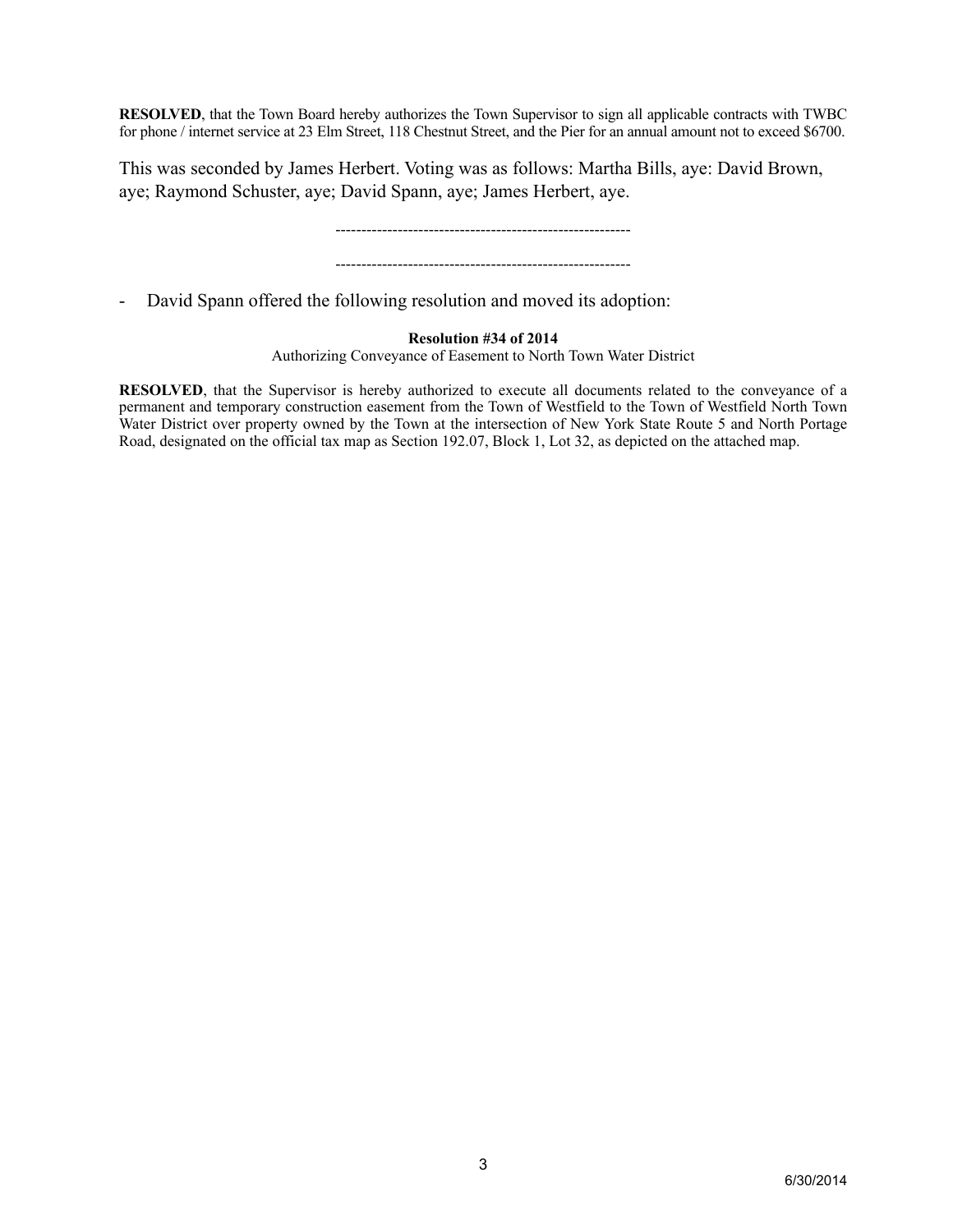**RESOLVED**, that the Town Board hereby authorizes the Town Supervisor to sign all applicable contracts with TWBC for phone / internet service at 23 Elm Street, 118 Chestnut Street, and the Pier for an annual amount not to exceed \$6700.

This was seconded by James Herbert. Voting was as follows: Martha Bills, aye: David Brown, aye; Raymond Schuster, aye; David Spann, aye; James Herbert, aye.

> --------------------------------------------------------- ---------------------------------------------------------

- David Spann offered the following resolution and moved its adoption:

## **Resolution #34 of 2014**

Authorizing Conveyance of Easement to North Town Water District

**RESOLVED**, that the Supervisor is hereby authorized to execute all documents related to the conveyance of a permanent and temporary construction easement from the Town of Westfield to the Town of Westfield North Town Water District over property owned by the Town at the intersection of New York State Route 5 and North Portage Road, designated on the official tax map as Section 192.07, Block 1, Lot 32, as depicted on the attached map.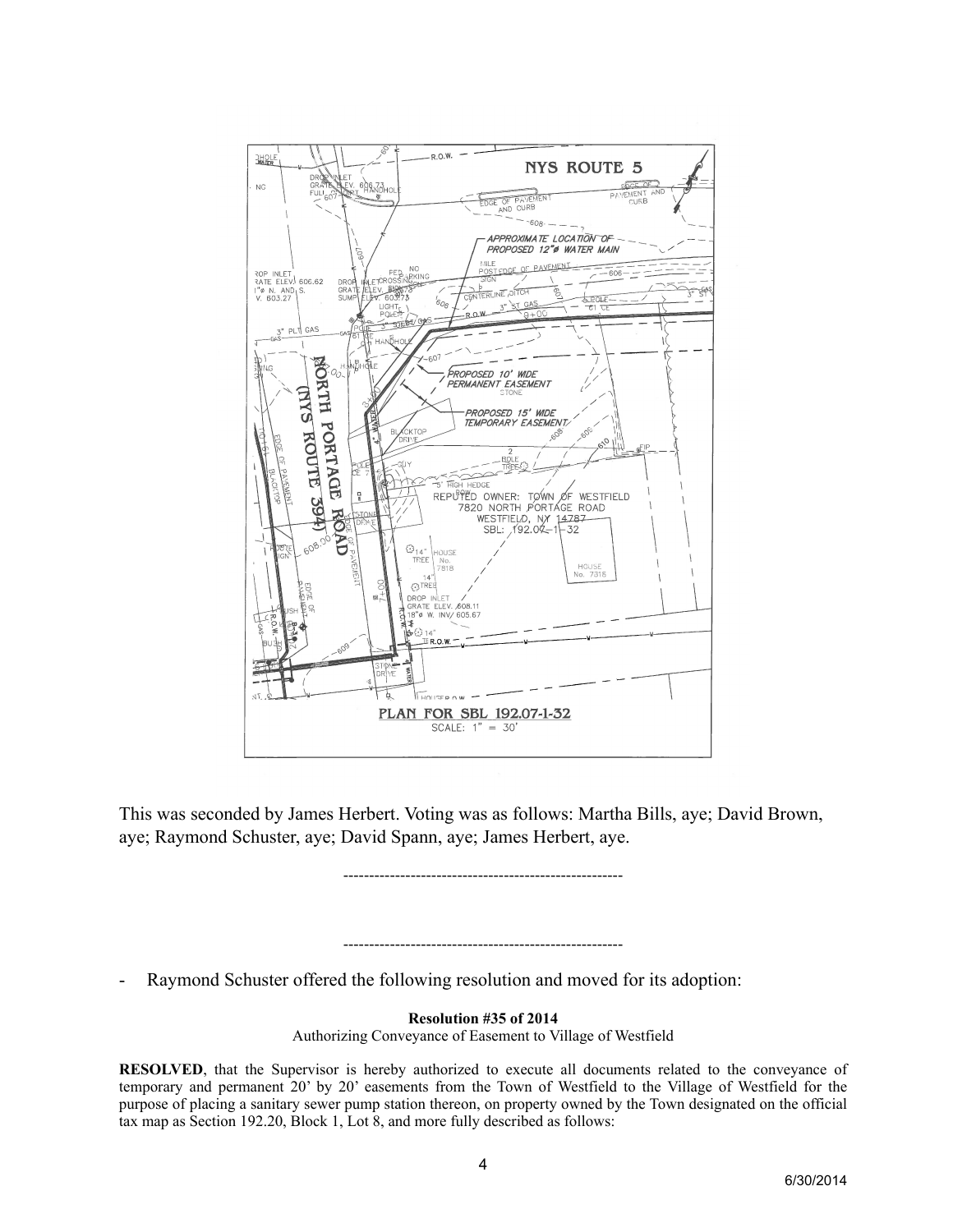

This was seconded by James Herbert. Voting was as follows: Martha Bills, aye; David Brown, aye; Raymond Schuster, aye; David Spann, aye; James Herbert, aye.

------------------------------------------------------

------------------------------------------------------

Raymond Schuster offered the following resolution and moved for its adoption:

**Resolution #35 of 2014**

Authorizing Conveyance of Easement to Village of Westfield

**RESOLVED**, that the Supervisor is hereby authorized to execute all documents related to the conveyance of temporary and permanent 20' by 20' easements from the Town of Westfield to the Village of Westfield for the purpose of placing a sanitary sewer pump station thereon, on property owned by the Town designated on the official tax map as Section 192.20, Block 1, Lot 8, and more fully described as follows: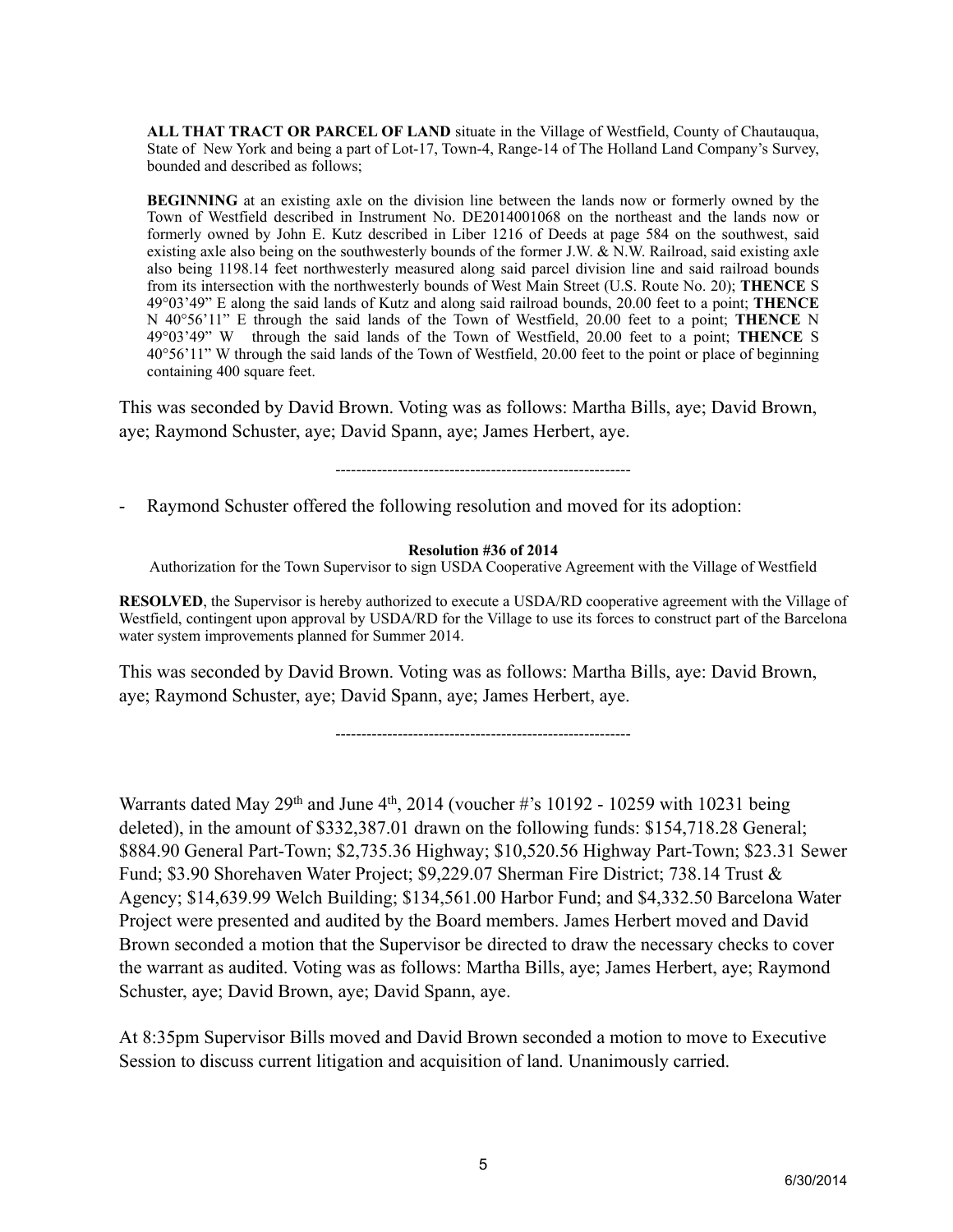ALL THAT TRACT OR PARCEL OF LAND situate in the Village of Westfield, County of Chautauqua. State of New York and being a part of Lot-17, Town-4, Range-14 of The Holland Land Company's Survey, bounded and described as follows;

**BEGINNING** at an existing axle on the division line between the lands now or formerly owned by the Town of Westfield described in Instrument No. DE2014001068 on the northeast and the lands now or formerly owned by John E. Kutz described in Liber 1216 of Deeds at page 584 on the southwest, said existing axle also being on the southwesterly bounds of the former J.W. & N.W. Railroad, said existing axle also being 1198.14 feet northwesterly measured along said parcel division line and said railroad bounds from its intersection with the northwesterly bounds of West Main Street (U.S. Route No. 20); **THENCE** S 49°03'49" E along the said lands of Kutz and along said railroad bounds, 20.00 feet to a point; **THENCE** N 40°56'11" E through the said lands of the Town of Westfield, 20.00 feet to a point; **THENCE** N 49°03'49" W through the said lands of the Town of Westfield, 20.00 feet to a point; **THENCE** S 40°56'11" W through the said lands of the Town of Westfield, 20.00 feet to the point or place of beginning containing 400 square feet.

This was seconded by David Brown. Voting was as follows: Martha Bills, aye; David Brown, aye; Raymond Schuster, aye; David Spann, aye; James Herbert, aye.

---------------------------------------------------------

Raymond Schuster offered the following resolution and moved for its adoption:

## **Resolution #36 of 2014**

Authorization for the Town Supervisor to sign USDA Cooperative Agreement with the Village of Westfield

**RESOLVED**, the Supervisor is hereby authorized to execute a USDA/RD cooperative agreement with the Village of Westfield, contingent upon approval by USDA/RD for the Village to use its forces to construct part of the Barcelona water system improvements planned for Summer 2014.

This was seconded by David Brown. Voting was as follows: Martha Bills, aye: David Brown, aye; Raymond Schuster, aye; David Spann, aye; James Herbert, aye.

---------------------------------------------------------

Warrants dated May 29<sup>th</sup> and June 4<sup>th</sup>, 2014 (voucher #'s 10192 - 10259 with 10231 being deleted), in the amount of \$332,387.01 drawn on the following funds: \$154,718.28 General; \$884.90 General Part-Town; \$2,735.36 Highway; \$10,520.56 Highway Part-Town; \$23.31 Sewer Fund; \$3.90 Shorehaven Water Project; \$9,229.07 Sherman Fire District; 738.14 Trust & Agency; \$14,639.99 Welch Building; \$134,561.00 Harbor Fund; and \$4,332.50 Barcelona Water Project were presented and audited by the Board members. James Herbert moved and David Brown seconded a motion that the Supervisor be directed to draw the necessary checks to cover the warrant as audited. Voting was as follows: Martha Bills, aye; James Herbert, aye; Raymond Schuster, aye; David Brown, aye; David Spann, aye.

At 8:35pm Supervisor Bills moved and David Brown seconded a motion to move to Executive Session to discuss current litigation and acquisition of land. Unanimously carried.